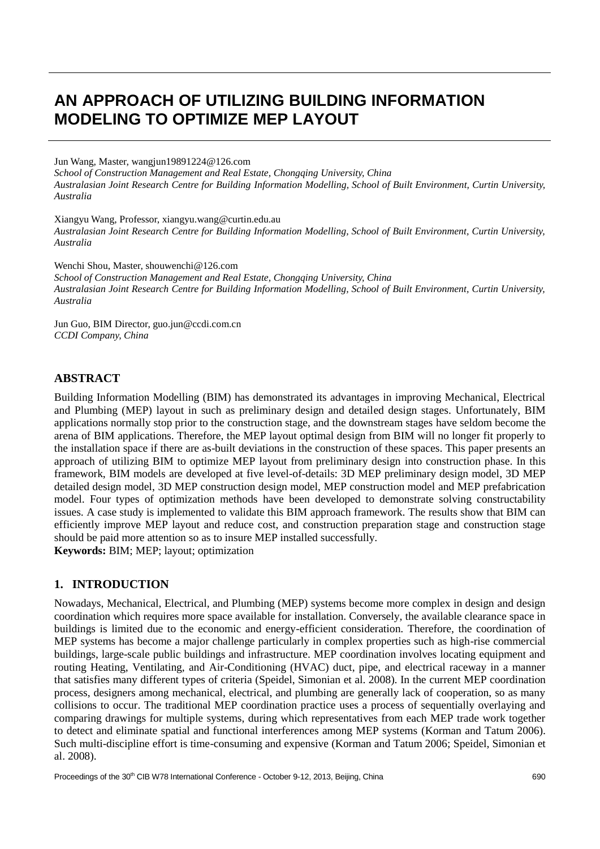# **AN APPROACH OF UTILIZING BUILDING INFORMATION MODELING TO OPTIMIZE MEP LAYOUT**

Jun Wang, Master, wangjun19891224@126.com *School of Construction Management and Real Estate, Chongqing University, China Australasian Joint Research Centre for Building Information Modelling, School of Built Environment, Curtin University, Australia*

Xiangyu Wang, Professor, xiangyu.wang@curtin.edu.au *Australasian Joint Research Centre for Building Information Modelling, School of Built Environment, Curtin University, Australia*

Wenchi Shou, Master, shouwenchi@126.com *School of Construction Management and Real Estate, Chongaing University, China Australasian Joint Research Centre for Building Information Modelling, School of Built Environment, Curtin University, Australia*

Jun Guo, BIM Director, guo.jun@ccdi.com.cn *CCDI Company, China*

# **ABSTRACT**

Building Information Modelling (BIM) has demonstrated its advantages in improving Mechanical, Electrical and Plumbing (MEP) layout in such as preliminary design and detailed design stages. Unfortunately, BIM applications normally stop prior to the construction stage, and the downstream stages have seldom become the arena of BIM applications. Therefore, the MEP layout optimal design from BIM will no longer fit properly to the installation space if there are as-built deviations in the construction of these spaces. This paper presents an approach of utilizing BIM to optimize MEP layout from preliminary design into construction phase. In this framework, BIM models are developed at five level-of-details: 3D MEP preliminary design model, 3D MEP detailed design model, 3D MEP construction design model, MEP construction model and MEP prefabrication model. Four types of optimization methods have been developed to demonstrate solving constructability issues. A case study is implemented to validate this BIM approach framework. The results show that BIM can efficiently improve MEP layout and reduce cost, and construction preparation stage and construction stage should be paid more attention so as to insure MEP installed successfully. **Keywords:** BIM; MEP; layout; optimization

# **1. INTRODUCTION**

Nowadays, Mechanical, Electrical, and Plumbing (MEP) systems become more complex in design and design coordination which requires more space available for installation. Conversely, the available clearance space in buildings is limited due to the economic and energy-efficient consideration. Therefore, the coordination of MEP systems has become a major challenge particularly in complex properties such as high-rise commercial buildings, large-scale public buildings and infrastructure. MEP coordination involves locating equipment and routing Heating, Ventilating, and Air-Conditioning (HVAC) duct, pipe, and electrical raceway in a manner that satisfies many different types of criteria [\(Speidel, Simonian et al. 2008\)](#page-9-0). In the current MEP coordination process, designers among mechanical, electrical, and plumbing are generally lack of cooperation, so as many collisions to occur. The traditional MEP coordination practice uses a process of sequentially overlaying and comparing drawings for multiple systems, during which representatives from each MEP trade work together to detect and eliminate spatial and functional interferences among MEP systems [\(Korman and Tatum 2006\)](#page-9-1). Such multi-discipline effort is time-consuming and expensive [\(Korman and Tatum 2006;](#page-9-1) [Speidel, Simonian et](#page-9-0)  [al. 2008\)](#page-9-0).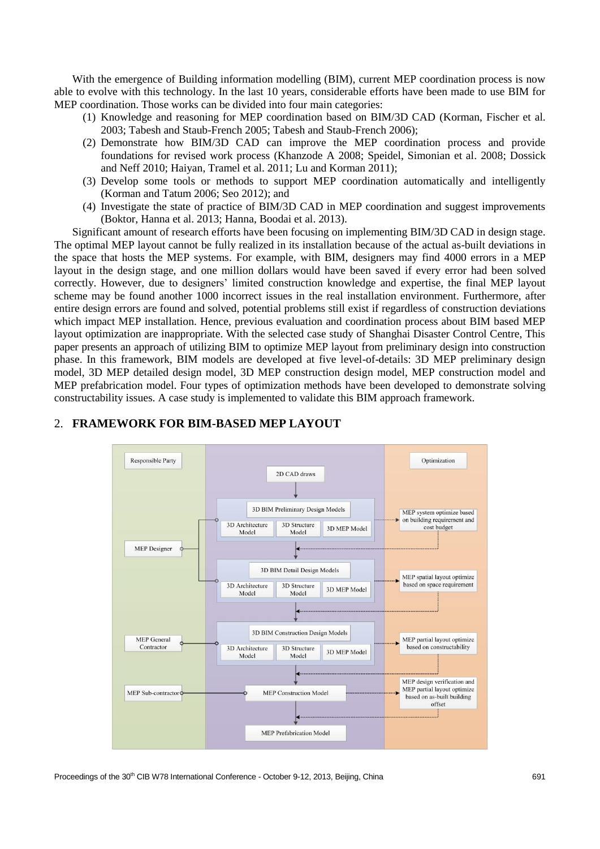With the emergence of Building information modelling (BIM), current MEP coordination process is now able to evolve with this technology. In the last 10 years, considerable efforts have been made to use BIM for MEP coordination. Those works can be divided into four main categories:

- (1) Knowledge and reasoning for MEP coordination based on BIM/3D CAD [\(Korman, Fischer et al.](#page-9-2)  [2003;](#page-9-2) [Tabesh and Staub-French 2005;](#page-9-3) [Tabesh and Staub-French 2006\)](#page-9-4);
- (2) Demonstrate how BIM/3D CAD can improve the MEP coordination process and provide foundations for revised work process [\(Khanzode A 2008;](#page-9-5) [Speidel, Simonian et al. 2008;](#page-9-0) [Dossick](#page-9-6)  [and Neff 2010;](#page-9-6) [Haiyan, Tramel et al. 2011;](#page-9-7) [Lu and Korman 2011\)](#page-9-8);
- (3) Develop some tools or methods to support MEP coordination automatically and intelligently [\(Korman and Tatum 2006;](#page-9-9) [Seo 2012\)](#page-9-10); and
- (4) Investigate the state of practice of BIM/3D CAD in MEP coordination and suggest improvements [\(Boktor, Hanna et al. 2013;](#page-9-11) [Hanna, Boodai et al. 2013\)](#page-9-12).

Significant amount of research efforts have been focusing on implementing BIM/3D CAD in design stage. The optimal MEP layout cannot be fully realized in its installation because of the actual as-built deviations in the space that hosts the MEP systems. For example, with BIM, designers may find 4000 errors in a MEP layout in the design stage, and one million dollars would have been saved if every error had been solved correctly. However, due to designers' limited construction knowledge and expertise, the final MEP layout scheme may be found another 1000 incorrect issues in the real installation environment. Furthermore, after entire design errors are found and solved, potential problems still exist if regardless of construction deviations which impact MEP installation. Hence, previous evaluation and coordination process about BIM based MEP layout optimization are inappropriate. With the selected case study of Shanghai Disaster Control Centre, This paper presents an approach of utilizing BIM to optimize MEP layout from preliminary design into construction phase. In this framework, BIM models are developed at five level-of-details: 3D MEP preliminary design model, 3D MEP detailed design model, 3D MEP construction design model, MEP construction model and MEP prefabrication model. Four types of optimization methods have been developed to demonstrate solving constructability issues. A case study is implemented to validate this BIM approach framework.



# 2. **FRAMEWORK FOR BIM-BASED MEP LAYOUT**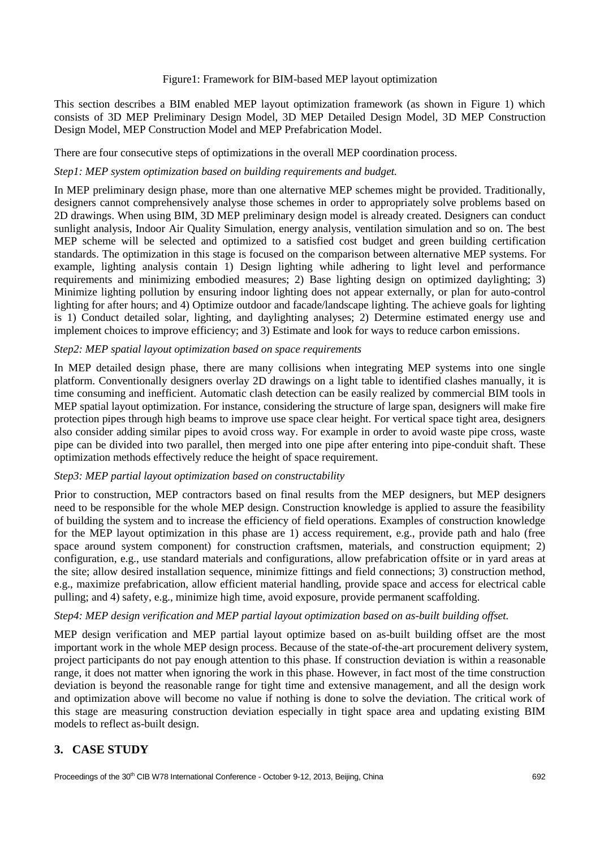#### Figure1: Framework for BIM-based MEP layout optimization

This section describes a BIM enabled MEP layout optimization framework (as shown in Figure 1) which consists of 3D MEP Preliminary Design Model, 3D MEP Detailed Design Model, 3D MEP Construction Design Model, MEP Construction Model and MEP Prefabrication Model.

There are four consecutive steps of optimizations in the overall MEP coordination process.

#### *Step1: MEP system optimization based on building requirements and budget.*

In MEP preliminary design phase, more than one alternative MEP schemes might be provided. Traditionally, designers cannot comprehensively analyse those schemes in order to appropriately solve problems based on 2D drawings. When using BIM, 3D MEP preliminary design model is already created. Designers can conduct sunlight analysis, Indoor Air Quality Simulation, energy analysis, ventilation simulation and so on. The best MEP scheme will be selected and optimized to a satisfied cost budget and green building certification standards. The optimization in this stage is focused on the comparison between alternative MEP systems. For example, lighting analysis contain 1) Design lighting while adhering to light level and performance requirements and minimizing embodied measures; 2) Base lighting design on optimized daylighting; 3) Minimize lighting pollution by ensuring indoor lighting does not appear externally, or plan for auto-control lighting for after hours; and 4) Optimize outdoor and facade/landscape lighting. The achieve goals for lighting is 1) Conduct detailed solar, lighting, and daylighting analyses; 2) Determine estimated energy use and implement choices to improve efficiency; and 3) Estimate and look for ways to reduce carbon emissions.

#### *Step2: MEP spatial layout optimization based on space requirements*

In MEP detailed design phase, there are many collisions when integrating MEP systems into one single platform. Conventionally designers overlay 2D drawings on a light table to identified clashes manually, it is time consuming and inefficient. Automatic clash detection can be easily realized by commercial BIM tools in MEP spatial layout optimization. For instance, considering the structure of large span, designers will make fire protection pipes through high beams to improve use space clear height. For vertical space tight area, designers also consider adding similar pipes to avoid cross way. For example in order to avoid waste pipe cross, waste pipe can be divided into two parallel, then merged into one pipe after entering into pipe-conduit shaft. These optimization methods effectively reduce the height of space requirement.

#### *Step3: MEP partial layout optimization based on constructability*

Prior to construction, MEP contractors based on final results from the MEP designers, but MEP designers need to be responsible for the whole MEP design. Construction knowledge is applied to assure the feasibility of building the system and to increase the efficiency of field operations. Examples of construction knowledge for the MEP layout optimization in this phase are 1) access requirement, e.g., provide path and halo (free space around system component) for construction craftsmen, materials, and construction equipment; 2) configuration, e.g., use standard materials and configurations, allow prefabrication offsite or in yard areas at the site; allow desired installation sequence, minimize fittings and field connections; 3) construction method, e.g., maximize prefabrication, allow efficient material handling, provide space and access for electrical cable pulling; and 4) safety, e.g., minimize high time, avoid exposure, provide permanent scaffolding.

#### *Step4: MEP design verification and MEP partial layout optimization based on as-built building offset.*

MEP design verification and MEP partial layout optimize based on as-built building offset are the most important work in the whole MEP design process. Because of the state-of-the-art procurement delivery system, project participants do not pay enough attention to this phase. If construction deviation is within a reasonable range, it does not matter when ignoring the work in this phase. However, in fact most of the time construction deviation is beyond the reasonable range for tight time and extensive management, and all the design work and optimization above will become no value if nothing is done to solve the deviation. The critical work of this stage are measuring construction deviation especially in tight space area and updating existing BIM models to reflect as-built design.

# **3. CASE STUDY**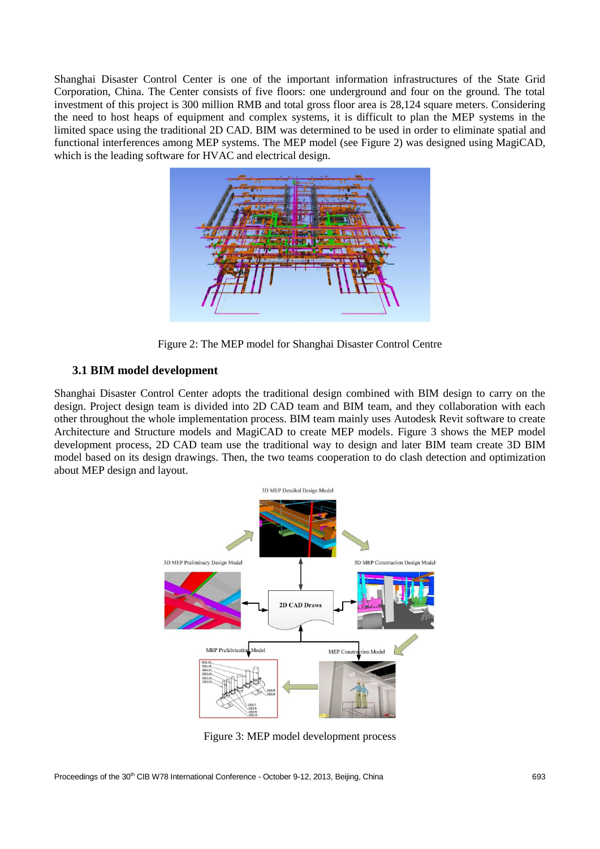Shanghai Disaster Control Center is one of the important information infrastructures of the State Grid Corporation, China. The Center consists of five floors: one underground and four on the ground. The total investment of this project is 300 million RMB and total gross floor area is 28,124 square meters. Considering the need to host heaps of equipment and complex systems, it is difficult to plan the MEP systems in the limited space using the traditional 2D CAD. BIM was determined to be used in order to eliminate spatial and functional interferences among MEP systems. The MEP model (see Figure 2) was designed using MagiCAD, which is the leading software for HVAC and electrical design.



Figure 2: The MEP model for Shanghai Disaster Control Centre

# **3.1 BIM model development**

Shanghai Disaster Control Center adopts the traditional design combined with BIM design to carry on the design. Project design team is divided into 2D CAD team and BIM team, and they collaboration with each other throughout the whole implementation process. BIM team mainly uses Autodesk Revit software to create Architecture and Structure models and MagiCAD to create MEP models. Figure 3 shows the MEP model development process, 2D CAD team use the traditional way to design and later BIM team create 3D BIM model based on its design drawings. Then, the two teams cooperation to do clash detection and optimization about MEP design and layout.



Figure 3: MEP model development process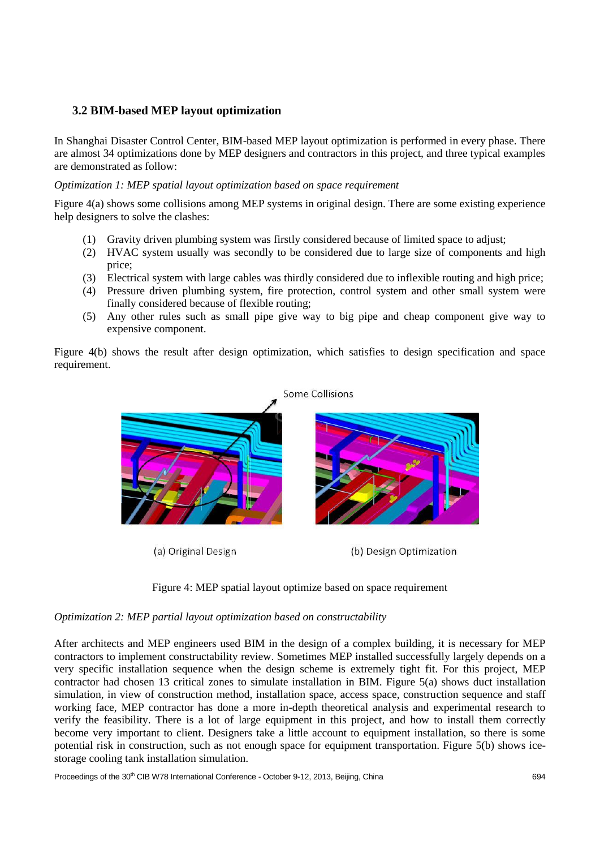# **3.2 BIM-based MEP layout optimization**

In Shanghai Disaster Control Center, BIM-based MEP layout optimization is performed in every phase. There are almost 34 optimizations done by MEP designers and contractors in this project, and three typical examples are demonstrated as follow:

## *Optimization 1: MEP spatial layout optimization based on space requirement*

Figure 4(a) shows some collisions among MEP systems in original design. There are some existing experience help designers to solve the clashes:

- (1) Gravity driven plumbing system was firstly considered because of limited space to adjust;
- (2) HVAC system usually was secondly to be considered due to large size of components and high price;
- (3) Electrical system with large cables was thirdly considered due to inflexible routing and high price;
- (4) Pressure driven plumbing system, fire protection, control system and other small system were finally considered because of flexible routing;
- (5) Any other rules such as small pipe give way to big pipe and cheap component give way to expensive component.

Figure 4(b) shows the result after design optimization, which satisfies to design specification and space requirement.



(a) Original Design

(b) Design Optimization



## *Optimization 2: MEP partial layout optimization based on constructability*

After architects and MEP engineers used BIM in the design of a complex building, it is necessary for MEP contractors to implement constructability review. Sometimes MEP installed successfully largely depends on a very specific installation sequence when the design scheme is extremely tight fit. For this project, MEP contractor had chosen 13 critical zones to simulate installation in BIM. Figure 5(a) shows duct installation simulation, in view of construction method, installation space, access space, construction sequence and staff working face, MEP contractor has done a more in-depth theoretical analysis and experimental research to verify the feasibility. There is a lot of large equipment in this project, and how to install them correctly become very important to client. Designers take a little account to equipment installation, so there is some potential risk in construction, such as not enough space for equipment transportation. Figure 5(b) shows icestorage cooling tank installation simulation.

Proceedings of the 30<sup>th</sup> CIB W78 International Conference - October 9-12, 2013, Beijing, China 694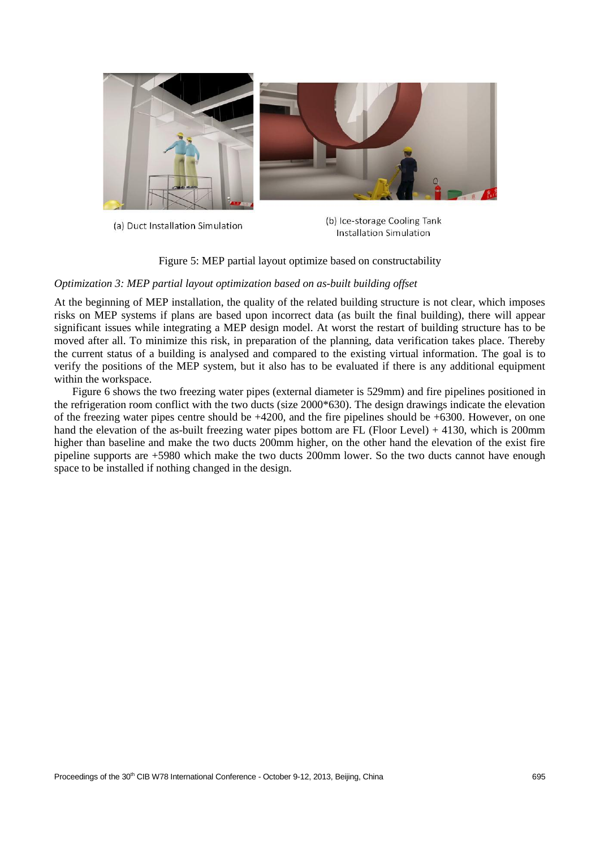

(a) Duct Installation Simulation

(b) Ice-storage Cooling Tank Installation Simulation

Figure 5: MEP partial layout optimize based on constructability

#### *Optimization 3: MEP partial layout optimization based on as-built building offset*

At the beginning of MEP installation, the quality of the related building structure is not clear, which imposes risks on MEP systems if plans are based upon incorrect data (as built the final building), there will appear significant issues while integrating a MEP design model. At worst the restart of building structure has to be moved after all. To minimize this risk, in preparation of the planning, data verification takes place. Thereby the current status of a building is analysed and compared to the existing virtual information. The goal is to verify the positions of the MEP system, but it also has to be evaluated if there is any additional equipment within the workspace.

Figure 6 shows the two freezing water pipes (external diameter is 529mm) and fire pipelines positioned in the refrigeration room conflict with the two ducts (size 2000\*630). The design drawings indicate the elevation of the freezing water pipes centre should be +4200, and the fire pipelines should be +6300. However, on one hand the elevation of the as-built freezing water pipes bottom are FL (Floor Level) + 4130, which is 200mm higher than baseline and make the two ducts 200mm higher, on the other hand the elevation of the exist fire pipeline supports are +5980 which make the two ducts 200mm lower. So the two ducts cannot have enough space to be installed if nothing changed in the design.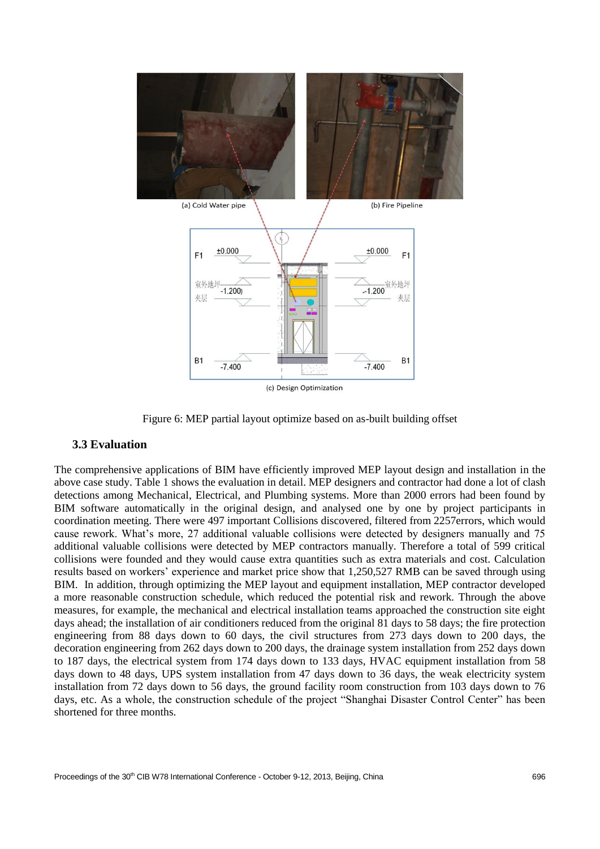

Figure 6: MEP partial layout optimize based on as-built building offset

## **3.3 Evaluation**

The comprehensive applications of BIM have efficiently improved MEP layout design and installation in the above case study. Table 1 shows the evaluation in detail. MEP designers and contractor had done a lot of clash detections among Mechanical, Electrical, and Plumbing systems. More than 2000 errors had been found by BIM software automatically in the original design, and analysed one by one by project participants in coordination meeting. There were 497 important Collisions discovered, filtered from 2257errors, which would cause rework. What's more, 27 additional valuable collisions were detected by designers manually and 75 additional valuable collisions were detected by MEP contractors manually. Therefore a total of 599 critical collisions were founded and they would cause extra quantities such as extra materials and cost. Calculation results based on workers' experience and market price show that 1,250,527 RMB can be saved through using BIM. In addition, through optimizing the MEP layout and equipment installation, MEP contractor developed a more reasonable construction schedule, which reduced the potential risk and rework. Through the above measures, for example, the mechanical and electrical installation teams approached the construction site eight days ahead; the installation of air conditioners reduced from the original 81 days to 58 days; the fire protection engineering from 88 days down to 60 days, the civil structures from 273 days down to 200 days, the decoration engineering from 262 days down to 200 days, the drainage system installation from 252 days down to 187 days, the electrical system from 174 days down to 133 days, HVAC equipment installation from 58 days down to 48 days, UPS system installation from 47 days down to 36 days, the weak electricity system installation from 72 days down to 56 days, the ground facility room construction from 103 days down to 76 days, etc. As a whole, the construction schedule of the project "Shanghai Disaster Control Center" has been shortened for three months.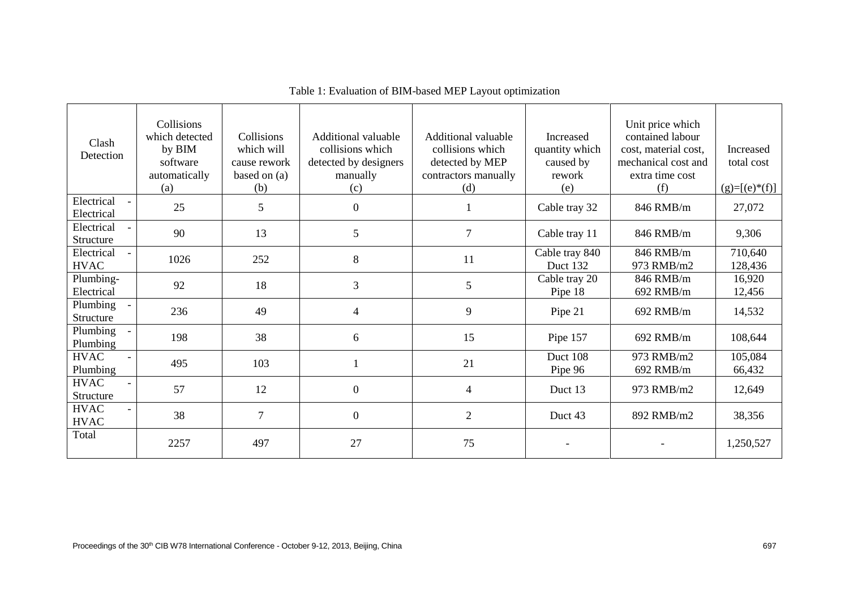| Clash<br>Detection                  | Collisions<br>which detected<br>by BIM<br>software<br>automatically<br>(a) | Collisions<br>which will<br>cause rework<br>based on $(a)$<br>(b) | Additional valuable<br>collisions which<br>detected by designers<br>manually<br>(c) | Additional valuable<br>collisions which<br>detected by MEP<br>contractors manually<br>(d) | Increased<br>quantity which<br>caused by<br>rework<br>(e) | Unit price which<br>contained labour<br>cost, material cost,<br>mechanical cost and<br>extra time cost<br>(f) | Increased<br>total cost<br>$(g)=[(e)*(f)]$ |
|-------------------------------------|----------------------------------------------------------------------------|-------------------------------------------------------------------|-------------------------------------------------------------------------------------|-------------------------------------------------------------------------------------------|-----------------------------------------------------------|---------------------------------------------------------------------------------------------------------------|--------------------------------------------|
| Electrical<br>Electrical            | 25                                                                         | 5                                                                 | $\overline{0}$                                                                      |                                                                                           | Cable tray 32                                             | 846 RMB/m                                                                                                     | 27,072                                     |
| Electrical<br>Structure             | 90                                                                         | 13                                                                | 5                                                                                   | 7                                                                                         | Cable tray 11                                             | 846 RMB/m                                                                                                     | 9,306                                      |
| Electrical<br><b>HVAC</b>           | 1026                                                                       | 252                                                               | 8                                                                                   | 11                                                                                        | Cable tray 840<br>Duct 132                                | 846 RMB/m<br>973 RMB/m2                                                                                       | 710,640<br>128,436                         |
| Plumbing-<br>Electrical             | 92                                                                         | 18                                                                | 3                                                                                   | 5                                                                                         | Cable tray 20<br>Pipe 18                                  | 846 RMB/m<br>692 RMB/m                                                                                        | 16,920<br>12,456                           |
| Plumbing<br>$\sim$ $-$<br>Structure | 236                                                                        | 49                                                                | $\overline{4}$                                                                      | 9                                                                                         | Pipe 21                                                   | 692 RMB/m                                                                                                     | 14,532                                     |
| Plumbing<br>Plumbing                | 198                                                                        | 38                                                                | 6                                                                                   | 15                                                                                        | Pipe 157                                                  | 692 RMB/m                                                                                                     | 108,644                                    |
| <b>HVAC</b><br>Plumbing             | 495                                                                        | 103                                                               |                                                                                     | 21                                                                                        | Duct 108<br>Pipe 96                                       | 973 RMB/m2<br>692 RMB/m                                                                                       | 105,084<br>66,432                          |
| <b>HVAC</b><br>Structure            | 57                                                                         | 12                                                                | $\boldsymbol{0}$                                                                    | $\overline{4}$                                                                            | Duct 13                                                   | 973 RMB/m2                                                                                                    | 12,649                                     |
| <b>HVAC</b><br><b>HVAC</b>          | 38                                                                         | $\tau$                                                            | $\boldsymbol{0}$                                                                    | $\overline{2}$                                                                            | Duct 43                                                   | 892 RMB/m2                                                                                                    | 38,356                                     |
| Total                               | 2257                                                                       | 497                                                               | 27                                                                                  | 75                                                                                        |                                                           |                                                                                                               | 1,250,527                                  |

Table 1: Evaluation of BIM-based MEP Layout optimization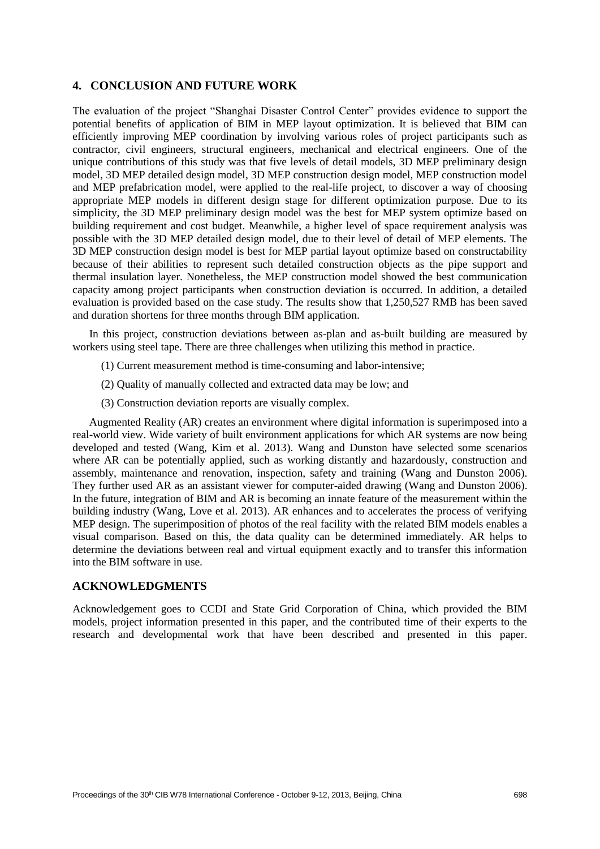# **4. CONCLUSION AND FUTURE WORK**

The evaluation of the project "Shanghai Disaster Control Center" provides evidence to support the potential benefits of application of BIM in MEP layout optimization. It is believed that BIM can efficiently improving MEP coordination by involving various roles of project participants such as contractor, civil engineers, structural engineers, mechanical and electrical engineers. One of the unique contributions of this study was that five levels of detail models, 3D MEP preliminary design model, 3D MEP detailed design model, 3D MEP construction design model, MEP construction model and MEP prefabrication model, were applied to the real-life project, to discover a way of choosing appropriate MEP models in different design stage for different optimization purpose. Due to its simplicity, the 3D MEP preliminary design model was the best for MEP system optimize based on building requirement and cost budget. Meanwhile, a higher level of space requirement analysis was possible with the 3D MEP detailed design model, due to their level of detail of MEP elements. The 3D MEP construction design model is best for MEP partial layout optimize based on constructability because of their abilities to represent such detailed construction objects as the pipe support and thermal insulation layer. Nonetheless, the MEP construction model showed the best communication capacity among project participants when construction deviation is occurred. In addition, a detailed evaluation is provided based on the case study. The results show that 1,250,527 RMB has been saved and duration shortens for three months through BIM application.

 In this project, construction deviations between as-plan and as-built building are measured by workers using steel tape. There are three challenges when utilizing this method in practice.

- (1) Current measurement method is time-consuming and labor-intensive;
- (2) Quality of manually collected and extracted data may be low; and
- (3) Construction deviation reports are visually complex.

 Augmented Reality (AR) creates an environment where digital information is superimposed into a real-world view. Wide variety of built environment applications for which AR systems are now being developed and tested [\(Wang, Kim et al. 2013\)](#page-9-13). Wang and Dunston have selected some scenarios where AR can be potentially applied, such as working distantly and hazardously, construction and assembly, maintenance and renovation, inspection, safety and training [\(Wang and Dunston 2006\)](#page-9-14). They further used AR as an assistant viewer for computer-aided drawing [\(Wang and Dunston 2006\)](#page-9-15). In the future, integration of BIM and AR is becoming an innate feature of the measurement within the building industry [\(Wang, Love et al. 2013\)](#page-9-16). AR enhances and to accelerates the process of verifying MEP design. The superimposition of photos of the real facility with the related BIM models enables a visual comparison. Based on this, the data quality can be determined immediately. AR helps to determine the deviations between real and virtual equipment exactly and to transfer this information into the BIM software in use.

#### **ACKNOWLEDGMENTS**

Acknowledgement goes to CCDI and State Grid Corporation of China, which provided the BIM models, project information presented in this paper, and the contributed time of their experts to the research and developmental work that have been described and presented in this paper.